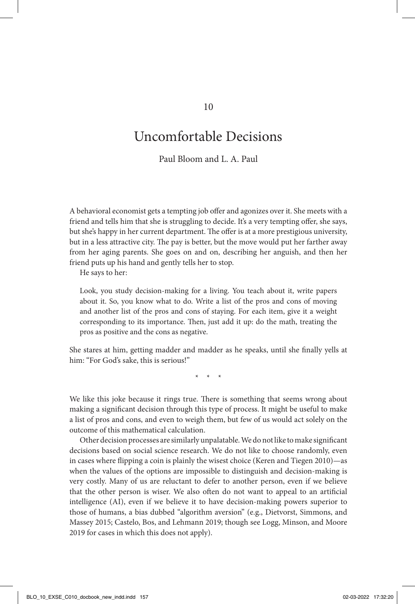## Uncomfortable Decisions

Paul Bloom and L. A. Paul

A behavioral economist gets a tempting job offer and agonizes over it. She meets with a friend and tells him that she is struggling to decide. It's a very tempting offer, she says, but she's happy in her current department. The offer is at a more prestigious university, but in a less attractive city. The pay is better, but the move would put her farther away from her aging parents. She goes on and on, describing her anguish, and then her friend puts up his hand and gently tells her to stop.

He says to her:

Look, you study decision-making for a living. You teach about it, write papers about it. So, you know what to do. Write a list of the pros and cons of moving and another list of the pros and cons of staying. For each item, give it a weight corresponding to its importance. Then, just add it up: do the math, treating the pros as positive and the cons as negative.

She stares at him, getting madder and madder as he speaks, until she finally yells at him: "For God's sake, this is serious!"

\* \* \*

We like this joke because it rings true. There is something that seems wrong about making a significant decision through this type of process. It might be useful to make a list of pros and cons, and even to weigh them, but few of us would act solely on the outcome of this mathematical calculation.

Other decision processes are similarly unpalatable. We do not like to make significant decisions based on social science research. We do not like to choose randomly, even in cases where flipping a coin is plainly the wisest choice (Keren and Tiegen 2010)—as when the values of the options are impossible to distinguish and decision-making is very costly. Many of us are reluctant to defer to another person, even if we believe that the other person is wiser. We also often do not want to appeal to an artificial intelligence (AI), even if we believe it to have decision-making powers superior to those of humans, a bias dubbed "algorithm aversion" (e.g., Dietvorst, Simmons, and Massey 2015; Castelo, Bos, and Lehmann 2019; though see Logg, Minson, and Moore 2019 for cases in which this does not apply).

10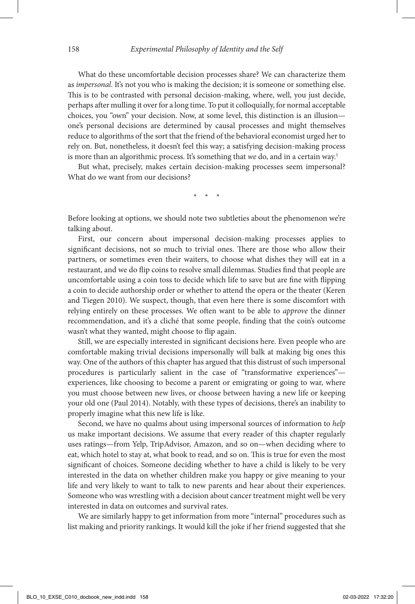What do these uncomfortable decision processes share? We can characterize them as *impersonal*. It's not you who is making the decision; it is someone or something else. This is to be contrasted with personal decision-making, where, well, you just decide, perhaps after mulling it over for a long time. To put it colloquially, for normal acceptable choices, you "own" your decision. Now, at some level, this distinction is an illusion one's personal decisions are determined by causal processes and might themselves reduce to algorithms of the sort that the friend of the behavioral economist urged her to rely on. But, nonetheless, it doesn't feel this way; a satisfying decision-making process is more than an algorithmic process. It's something that *we* do, and in a certain way.<sup>1</sup>

But what, precisely, makes certain decision-making processes seem impersonal? What do we want from our decisions?

\* \* \*

Before looking at options, we should note two subtleties about the phenomenon we're talking about.

First, our concern about impersonal decision-making processes applies to significant decisions, not so much to trivial ones. There are those who allow their partners, or sometimes even their waiters, to choose what dishes they will eat in a restaurant, and we do flip coins to resolve small dilemmas. Studies find that people are uncomfortable using a coin toss to decide which life to save but are fine with flipping a coin to decide authorship order or whether to attend the opera or the theater (Keren and Tiegen 2010). We suspect, though, that even here there is some discomfort with relying entirely on these processes. We often want to be able to *approve* the dinner recommendation, and it's a cliché that some people, finding that the coin's outcome wasn't what they wanted, might choose to flip again.

Still, we are especially interested in significant decisions here. Even people who are comfortable making trivial decisions impersonally will balk at making big ones this way. One of the authors of this chapter has argued that this distrust of such impersonal procedures is particularly salient in the case of "transformative experiences" experiences, like choosing to become a parent or emigrating or going to war, where you must choose between new lives, or choose between having a new life or keeping your old one (Paul 2014). Notably, with these types of decisions, there's an inability to properly imagine what this new life is like.

Second, we have no qualms about using impersonal sources of information to *help* us make important decisions. We assume that every reader of this chapter regularly uses ratings—from Yelp, TripAdvisor, Amazon, and so on—when deciding where to eat, which hotel to stay at, what book to read, and so on. This is true for even the most significant of choices. Someone deciding whether to have a child is likely to be very interested in the data on whether children make you happy or give meaning to your life and very likely to want to talk to new parents and hear about their experiences. Someone who was wrestling with a decision about cancer treatment might well be very interested in data on outcomes and survival rates.

We are similarly happy to get information from more "internal" procedures such as list making and priority rankings. It would kill the joke if her friend suggested that she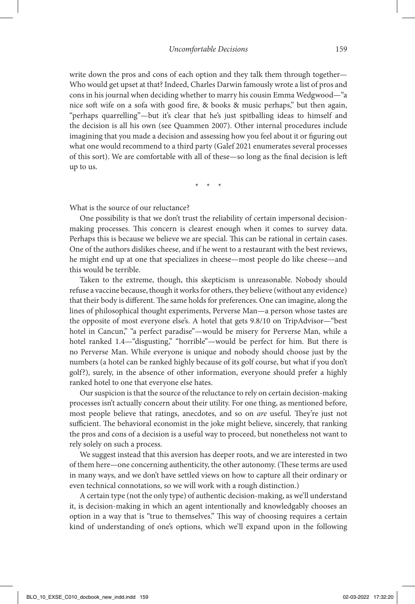write down the pros and cons of each option and they talk them through together— Who would get upset at that? Indeed, Charles Darwin famously wrote a list of pros and cons in his journal when deciding whether to marry his cousin Emma Wedgwood—"a nice soft wife on a sofa with good fire,  $\&$  books  $\&$  music perhaps," but then again, "perhaps quarrelling"—but it's clear that he's just spitballing ideas to himself and the decision is all his own (see Quammen 2007). Other internal procedures include imagining that you made a decision and assessing how you feel about it or figuring out what one would recommend to a third party (Galef 2021 enumerates several processes of this sort). We are comfortable with all of these—so long as the final decision is left up to us.

\* \* \*

What is the source of our reluctance?

One possibility is that we don't trust the reliability of certain impersonal decisionmaking processes. This concern is clearest enough when it comes to survey data. Perhaps this is because we believe we are special. This can be rational in certain cases. One of the authors dislikes cheese, and if he went to a restaurant with the best reviews, he might end up at one that specializes in cheese—most people do like cheese—and this would be terrible.

Taken to the extreme, though, this skepticism is unreasonable. Nobody should refuse a vaccine because, though it works for others, they believe (without any evidence) that their body is different. The same holds for preferences. One can imagine, along the lines of philosophical thought experiments, Perverse Man—a person whose tastes are the opposite of most everyone else's. A hotel that gets 9.8/10 on TripAdvisor—"best hotel in Cancun," "a perfect paradise"—would be misery for Perverse Man, while a hotel ranked 1.4—"disgusting," "horrible"—would be perfect for him. But there is no Perverse Man. While everyone is unique and nobody should choose just by the numbers (a hotel can be ranked highly because of its golf course, but what if you don't golf?), surely, in the absence of other information, everyone should prefer a highly ranked hotel to one that everyone else hates.

Our suspicion is that the source of the reluctance to rely on certain decision-making processes isn't actually concern about their utility. For one thing, as mentioned before, most people believe that ratings, anecdotes, and so on *are* useful. They're just not sufficient. The behavioral economist in the joke might believe, sincerely, that ranking the pros and cons of a decision is a useful way to proceed, but nonetheless not want to rely solely on such a process.

We suggest instead that this aversion has deeper roots, and we are interested in two of them here—one concerning authenticity, the other autonomy. (These terms are used in many ways, and we don't have settled views on how to capture all their ordinary or even technical connotations, so we will work with a rough distinction.)

A certain type (not the only type) of authentic decision-making, as we'll understand it, is decision-making in which an agent intentionally and knowledgably chooses an option in a way that is "true to themselves." This way of choosing requires a certain kind of understanding of one's options, which we'll expand upon in the following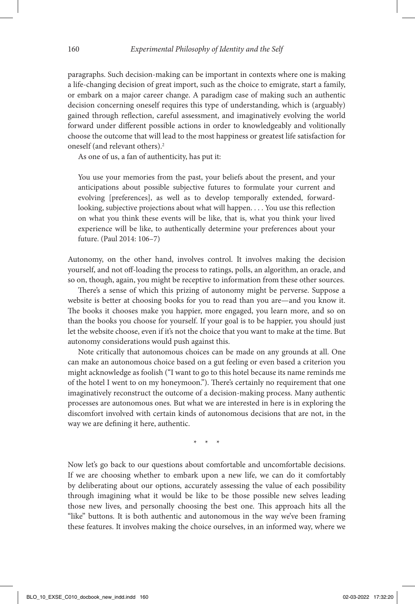paragraphs. Such decision-making can be important in contexts where one is making a life-changing decision of great import, such as the choice to emigrate, start a family, or embark on a major career change. A paradigm case of making such an authentic decision concerning oneself requires this type of understanding, which is (arguably) gained through reflection, careful assessment, and imaginatively evolving the world forward under different possible actions in order to knowledgeably and volitionally choose the outcome that will lead to the most happiness or greatest life satisfaction for oneself (and relevant others).<sup>2</sup>

As one of us, a fan of authenticity, has put it:

You use your memories from the past, your beliefs about the present, and your anticipations about possible subjective futures to formulate your current and evolving [preferences], as well as to develop temporally extended, forwardlooking, subjective projections about what will happen. . . . You use this reflection on what you think these events will be like, that is, what you think your lived experience will be like, to authentically determine your preferences about your future. (Paul 2014: 106–7)

Autonomy, on the other hand, involves control. It involves making the decision yourself, and not off-loading the process to ratings, polls, an algorithm, an oracle, and so on, though, again, you might be receptive to information from these other sources.

There's a sense of which this prizing of autonomy might be perverse. Suppose a website is better at choosing books for you to read than you are—and you know it. The books it chooses make you happier, more engaged, you learn more, and so on than the books you choose for yourself. If your goal is to be happier, you should just let the website choose, even if it's not the choice that you want to make at the time. But autonomy considerations would push against this.

Note critically that autonomous choices can be made on any grounds at all. One can make an autonomous choice based on a gut feeling or even based a criterion you might acknowledge as foolish ("I want to go to this hotel because its name reminds me of the hotel I went to on my honeymoon."). There's certainly no requirement that one imaginatively reconstruct the outcome of a decision-making process. Many authentic processes are autonomous ones. But what we are interested in here is in exploring the discomfort involved with certain kinds of autonomous decisions that are not, in the way we are defining it here, authentic.

\* \* \*

Now let's go back to our questions about comfortable and uncomfortable decisions. If we are choosing whether to embark upon a new life, we can do it comfortably by deliberating about our options, accurately assessing the value of each possibility through imagining what it would be like to be those possible new selves leading those new lives, and personally choosing the best one. This approach hits all the "like" buttons. It is both authentic and autonomous in the way we've been framing these features. It involves making the choice ourselves, in an informed way, where we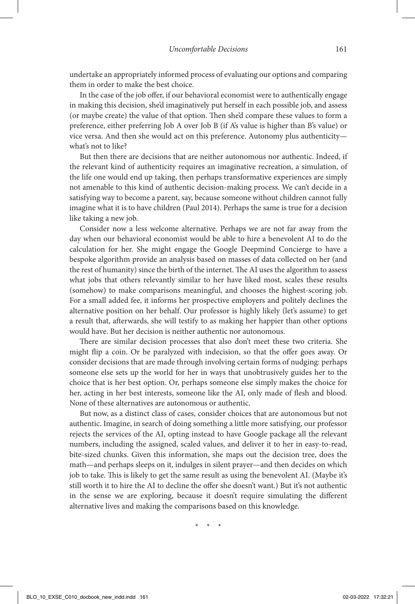undertake an appropriately informed process of evaluating our options and comparing them in order to make the best choice.

In the case of the job offer, if our behavioral economist were to authentically engage in making this decision, she'd imaginatively put herself in each possible job, and assess (or maybe create) the value of that option. Then she'd compare these values to form a preference, either preferring Job A over Job B (if A's value is higher than B's value) or vice versa. And then she would act on this preference. Autonomy plus authenticity what's not to like?

But then there are decisions that are neither autonomous nor authentic. Indeed, if the relevant kind of authenticity requires an imaginative recreation, a simulation, of the life one would end up taking, then perhaps transformative experiences are simply not amenable to this kind of authentic decision-making process. We can't decide in a satisfying way to become a parent, say, because someone without children cannot fully imagine what it is to have children (Paul 2014). Perhaps the same is true for a decision like taking a new job.

Consider now a less welcome alternative. Perhaps we are not far away from the day when our behavioral economist would be able to hire a benevolent AI to do the calculation for her. She might engage the Google Deepmind Concierge to have a bespoke algorithm provide an analysis based on masses of data collected on her (and the rest of humanity) since the birth of the internet. The AI uses the algorithm to assess what jobs that others relevantly similar to her have liked most, scales these results (somehow) to make comparisons meaningful, and chooses the highest-scoring job. For a small added fee, it informs her prospective employers and politely declines the alternative position on her behalf. Our professor is highly likely (let's assume) to get a result that, afterwards, she will testify to as making her happier than other options would have. But her decision is neither authentic nor autonomous.

There are similar decision processes that also don't meet these two criteria. She might flip a coin. Or be paralyzed with indecision, so that the offer goes away. Or consider decisions that are made through involving certain forms of nudging: perhaps someone else sets up the world for her in ways that unobtrusively guides her to the choice that is her best option. Or, perhaps someone else simply makes the choice for her, acting in her best interests, someone like the AI, only made of flesh and blood. None of these alternatives are autonomous or authentic.

But now, as a distinct class of cases, consider choices that are autonomous but not authentic. Imagine, in search of doing something a little more satisfying, our professor rejects the services of the AI, opting instead to have Google package all the relevant numbers, including the assigned, scaled values, and deliver it to her in easy-to-read, bite-sized chunks. Given this information, she maps out the decision tree, does the math—and perhaps sleeps on it, indulges in silent prayer—and then decides on which job to take. This is likely to get the same result as using the benevolent AI. (Maybe it's still worth it to hire the AI to decline the offer she doesn't want.) But it's not authentic in the sense we are exploring, because it doesn't require simulating the different alternative lives and making the comparisons based on this knowledge.

\* \* \*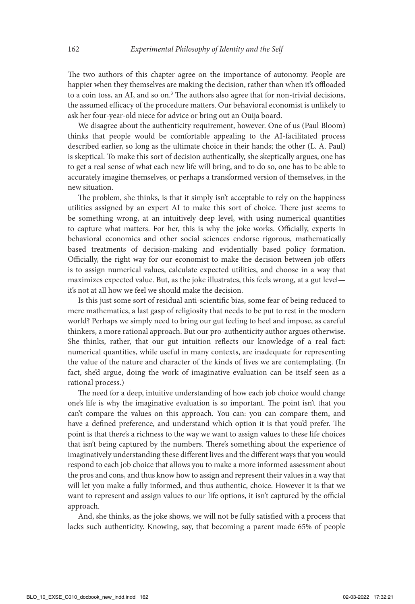The two authors of this chapter agree on the importance of autonomy. People are happier when they themselves are making the decision, rather than when it's offloaded to a coin toss, an AI, and so on.<sup>3</sup> The authors also agree that for non-trivial decisions, the assumed efficacy of the procedure matters. Our behavioral economist is unlikely to ask her four-year-old niece for advice or bring out an Ouija board.

We disagree about the authenticity requirement, however. One of us (Paul Bloom) thinks that people would be comfortable appealing to the AI-facilitated process described earlier, so long as the ultimate choice in their hands; the other (L. A. Paul) is skeptical. To make this sort of decision authentically, she skeptically argues, one has to get a real sense of what each new life will bring, and to do so, one has to be able to accurately imagine themselves, or perhaps a transformed version of themselves, in the new situation.

The problem, she thinks, is that it simply isn't acceptable to rely on the happiness utilities assigned by an expert AI to make this sort of choice. There just seems to be something wrong, at an intuitively deep level, with using numerical quantities to capture what matters. For her, this is why the joke works. Officially, experts in behavioral economics and other social sciences endorse rigorous, mathematically based treatments of decision-making and evidentially based policy formation. Officially, the right way for our economist to make the decision between job offers is to assign numerical values, calculate expected utilities, and choose in a way that maximizes expected value. But, as the joke illustrates, this feels wrong, at a gut level it's not at all how we feel we should make the decision.

Is this just some sort of residual anti-scientific bias, some fear of being reduced to mere mathematics, a last gasp of religiosity that needs to be put to rest in the modern world? Perhaps we simply need to bring our gut feeling to heel and impose, as careful thinkers, a more rational approach. But our pro-authenticity author argues otherwise. She thinks, rather, that our gut intuition reflects our knowledge of a real fact: numerical quantities, while useful in many contexts, are inadequate for representing the value of the nature and character of the kinds of lives we are contemplating. (In fact, she'd argue, doing the work of imaginative evaluation can be itself seen as a rational process.)

The need for a deep, intuitive understanding of how each job choice would change one's life is why the imaginative evaluation is so important. The point isn't that you can't compare the values on this approach. You can: you can compare them, and have a defined preference, and understand which option it is that you'd prefer. The point is that there's a richness to the way we want to assign values to these life choices that isn't being captured by the numbers. There's something about the experience of imaginatively understanding these different lives and the different ways that you would respond to each job choice that allows you to make a more informed assessment about the pros and cons, and thus know how to assign and represent their values in a way that will let you make a fully informed, and thus authentic, choice. However it is that we want to represent and assign values to our life options, it isn't captured by the official approach.

And, she thinks, as the joke shows, we will not be fully satisfied with a process that lacks such authenticity. Knowing, say, that becoming a parent made 65% of people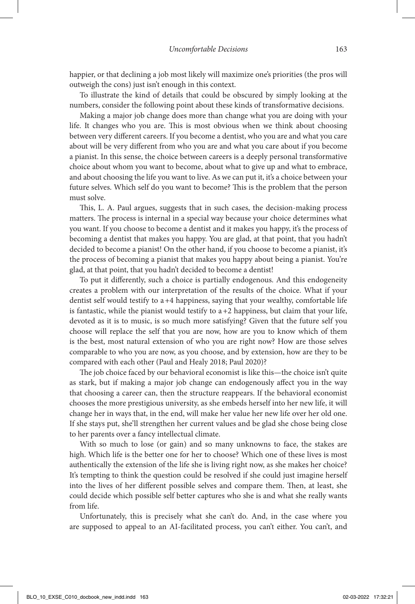happier, or that declining a job most likely will maximize one's priorities (the pros will outweigh the cons) just isn't enough in this context.

To illustrate the kind of details that could be obscured by simply looking at the numbers, consider the following point about these kinds of transformative decisions.

Making a major job change does more than change what you are doing with your life. It changes who you are. This is most obvious when we think about choosing between very different careers. If you become a dentist, who you are and what you care about will be very different from who you are and what you care about if you become a pianist. In this sense, the choice between careers is a deeply personal transformative choice about whom you want to become, about what to give up and what to embrace, and about choosing the life you want to live. As we can put it, it's a choice between your future selves. Which self do you want to become? This is the problem that the person must solve.

This, L. A. Paul argues, suggests that in such cases, the decision-making process matters. The process is internal in a special way because your choice determines what you want. If you choose to become a dentist and it makes you happy, it's the process of becoming a dentist that makes you happy. You are glad, at that point, that you hadn't decided to become a pianist! On the other hand, if you choose to become a pianist, it's the process of becoming a pianist that makes you happy about being a pianist. You're glad, at that point, that you hadn't decided to become a dentist!

To put it differently, such a choice is partially endogenous. And this endogeneity creates a problem with our interpretation of the results of the choice. What if your dentist self would testify to a+4 happiness, saying that your wealthy, comfortable life is fantastic, while the pianist would testify to  $a+2$  happiness, but claim that your life, devoted as it is to music, is so much more satisfying? Given that the future self you choose will replace the self that you are now, how are you to know which of them is the best, most natural extension of who you are right now? How are those selves comparable to who you are now, as you choose, and by extension, how are they to be compared with each other (Paul and Healy 2018; Paul 2020)?

The job choice faced by our behavioral economist is like this—the choice isn't quite as stark, but if making a major job change can endogenously affect you in the way that choosing a career can, then the structure reappears. If the behavioral economist chooses the more prestigious university, as she embeds herself into her new life, it will change her in ways that, in the end, will make her value her new life over her old one. If she stays put, she'll strengthen her current values and be glad she chose being close to her parents over a fancy intellectual climate.

With so much to lose (or gain) and so many unknowns to face, the stakes are high. Which life is the better one for her to choose? Which one of these lives is most authentically the extension of the life she is living right now, as she makes her choice? It's tempting to think the question could be resolved if she could just imagine herself into the lives of her different possible selves and compare them. Then, at least, she could decide which possible self better captures who she is and what she really wants from life.

Unfortunately, this is precisely what she can't do. And, in the case where you are supposed to appeal to an AI-facilitated process, you can't either. You can't, and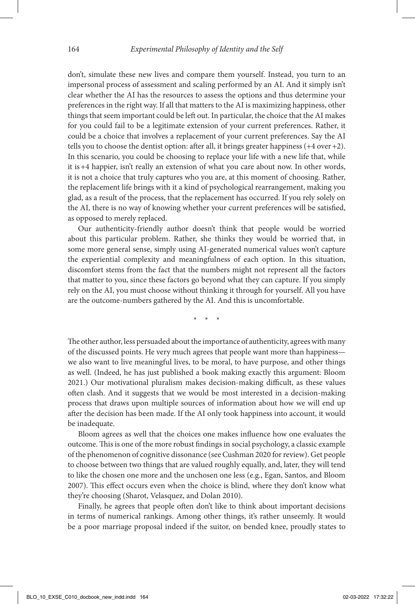don't, simulate these new lives and compare them yourself. Instead, you turn to an impersonal process of assessment and scaling performed by an AI. And it simply isn't clear whether the AI has the resources to assess the options and thus determine your preferences in the right way. If all that matters to the AI is maximizing happiness, other things that seem important could be left out. In particular, the choice that the AI makes for you could fail to be a legitimate extension of your current preferences. Rather, it could be a choice that involves a replacement of your current preferences. Say the AI tells you to choose the dentist option: after all, it brings greater happiness  $(+4$  over  $+2)$ . In this scenario, you could be choosing to replace your life with a new life that, while it is+4 happier, isn't really an extension of what you care about now. In other words, it is not a choice that truly captures who you are, at this moment of choosing. Rather, the replacement life brings with it a kind of psychological rearrangement, making you glad, as a result of the process, that the replacement has occurred. If you rely solely on the AI, there is no way of knowing whether your current preferences will be satisfied, as opposed to merely replaced.

Our authenticity-friendly author doesn't think that people would be worried about this particular problem. Rather, she thinks they would be worried that, in some more general sense, simply using AI-generated numerical values won't capture the experiential complexity and meaningfulness of each option. In this situation, discomfort stems from the fact that the numbers might not represent all the factors that matter to you, since these factors go beyond what they can capture. If you simply rely on the AI, you must choose without thinking it through for yourself. All you have are the outcome-numbers gathered by the AI. And this is uncomfortable.

\* \* \*

The other author, less persuaded about the importance of authenticity, agrees with many of the discussed points. He very much agrees that people want more than happiness we also want to live meaningful lives, to be moral, to have purpose, and other things as well. (Indeed, he has just published a book making exactly this argument: Bloom 2021.) Our motivational pluralism makes decision-making difficult, as these values often clash. And it suggests that we would be most interested in a decision-making process that draws upon multiple sources of information about how we will end up after the decision has been made. If the AI only took happiness into account, it would be inadequate.

Bloom agrees as well that the choices one makes influence how one evaluates the outcome. This is one of the more robust findings in social psychology, a classic example of the phenomenon of cognitive dissonance (see Cushman 2020 for review). Get people to choose between two things that are valued roughly equally, and, later, they will tend to like the chosen one more and the unchosen one less (e.g., Egan, Santos, and Bloom 2007). This effect occurs even when the choice is blind, where they don't know what they're choosing (Sharot, Velasquez, and Dolan 2010).

Finally, he agrees that people often don't like to think about important decisions in terms of numerical rankings. Among other things, it's rather unseemly. It would be a poor marriage proposal indeed if the suitor, on bended knee, proudly states to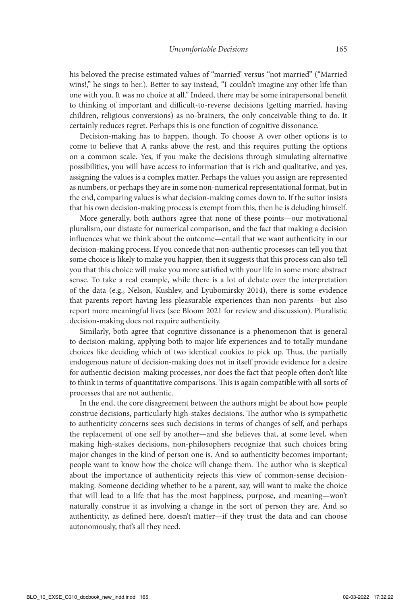his beloved the precise estimated values of "married' versus "not married" ("Married wins!," he sings to her.). Better to say instead, "I couldn't imagine any other life than one with you. It was no choice at all." Indeed, there may be some intrapersonal benefit to thinking of important and difficult-to-reverse decisions (getting married, having children, religious conversions) as no-brainers, the only conceivable thing to do. It certainly reduces regret. Perhaps this is one function of cognitive dissonance.

Decision-making has to happen, though. To choose A over other options is to come to believe that A ranks above the rest, and this requires putting the options on a common scale. Yes, if you make the decisions through simulating alternative possibilities, you will have access to information that is rich and qualitative, and yes, assigning the values is a complex matter. Perhaps the values you assign are represented as numbers, or perhaps they are in some non-numerical representational format, but in the end, comparing values is what decision-making comes down to. If the suitor insists that his own decision-making process is exempt from this, then he is deluding himself.

More generally, both authors agree that none of these points—our motivational pluralism, our distaste for numerical comparison, and the fact that making a decision influences what we think about the outcome—entail that we want authenticity in our decision-making process. If you concede that non-authentic processes can tell you that some choice is likely to make you happier, then it suggests that this process can also tell you that this choice will make you more satisfied with your life in some more abstract sense. To take a real example, while there is a lot of debate over the interpretation of the data (e.g., Nelson, Kushlev, and Lyubomirsky 2014), there is some evidence that parents report having less pleasurable experiences than non-parents—but also report more meaningful lives (see Bloom 2021 for review and discussion). Pluralistic decision-making does not require authenticity.

Similarly, both agree that cognitive dissonance is a phenomenon that is general to decision-making, applying both to major life experiences and to totally mundane choices like deciding which of two identical cookies to pick up. Thus, the partially endogenous nature of decision-making does not in itself provide evidence for a desire for authentic decision-making processes, nor does the fact that people often don't like to think in terms of quantitative comparisons. This is again compatible with all sorts of processes that are not authentic.

In the end, the core disagreement between the authors might be about how people construe decisions, particularly high-stakes decisions. The author who is sympathetic to authenticity concerns sees such decisions in terms of changes of self, and perhaps the replacement of one self by another—and she believes that, at some level, when making high-stakes decisions, non-philosophers recognize that such choices bring major changes in the kind of person one is. And so authenticity becomes important; people want to know how the choice will change them. The author who is skeptical about the importance of authenticity rejects this view of common-sense decisionmaking. Someone deciding whether to be a parent, say, will want to make the choice that will lead to a life that has the most happiness, purpose, and meaning—won't naturally construe it as involving a change in the sort of person they are. And so authenticity, as defined here, doesn't matter—if they trust the data and can choose autonomously, that's all they need.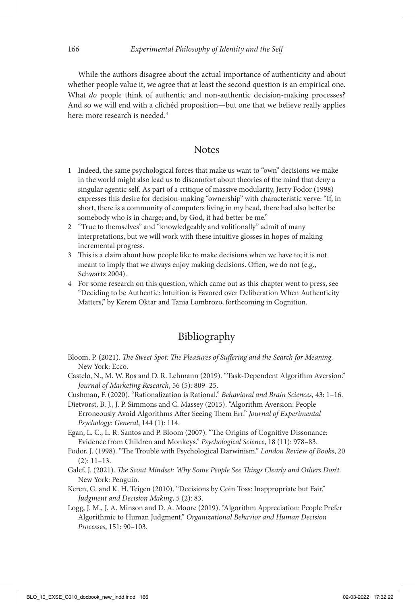While the authors disagree about the actual importance of authenticity and about whether people value it, we agree that at least the second question is an empirical one. What *do* people think of authentic and non-authentic decision-making processes? And so we will end with a clichéd proposition—but one that we believe really applies here: more research is needed.<sup>4</sup>

## **Notes**

- 1 Indeed, the same psychological forces that make us want to "own" decisions we make in the world might also lead us to discomfort about theories of the mind that deny a singular agentic self. As part of a critique of massive modularity, Jerry Fodor (1998) expresses this desire for decision-making "ownership" with characteristic verve: "If, in short, there is a community of computers living in my head, there had also better be somebody who is in charge; and, by God, it had better be me."
- 2 "True to themselves" and "knowledgeably and volitionally" admit of many interpretations, but we will work with these intuitive glosses in hopes of making incremental progress.
- 3 This is a claim about how people like to make decisions when we have to; it is not meant to imply that we always enjoy making decisions. Often, we do not (e.g., Schwartz 2004).
- 4 For some research on this question, which came out as this chapter went to press, see "Deciding to be Authentic: Intuition is Favored over Deliberation When Authenticity Matters," by Kerem Oktar and Tania Lombrozo, forthcoming in Cognition.

## Bibliography

- Bloom, P. (2021). The Sweet Spot: The Pleasures of Suffering and the Search for Meaning. New York: Ecco.
- Castelo, N., M. W. Bos and D. R. Lehmann (2019). "Task-Dependent Algorithm Aversion." *Journal of Marketing Research*, 56 (5): 809–25.
- Cushman, F. (2020). "Rationalization is Rational." *Behavioral and Brain Sciences*, 43: 1–16.

Dietvorst, B. J., J. P. Simmons and C. Massey (2015). "Algorithm Aversion: People Erroneously Avoid Algorithms After Seeing Them Err." *Journal of Experimental Psychology: General*, 144 (1): 114.

- Egan, L. C., L. R. Santos and P. Bloom (2007). "The Origins of Cognitive Dissonance: Evidence from Children and Monkeys." *Psychological Science*, 18 (11): 978–83.
- Fodor, J. (1998). "The Trouble with Psychological Darwinism." *London Review of Books*, 20 (2): 11–13.
- Galef, J. (2021). !*e Scout Mindset: Why Some People See* !*ings Clearly and Others Don't*. New York: Penguin.
- Keren, G. and K. H. Teigen (2010). "Decisions by Coin Toss: Inappropriate but Fair." *Judgment and Decision Making*, 5 (2): 83.
- Logg, J. M., J. A. Minson and D. A. Moore (2019). "Algorithm Appreciation: People Prefer Algorithmic to Human Judgment." *Organizational Behavior and Human Decision Processes*, 151: 90–103.